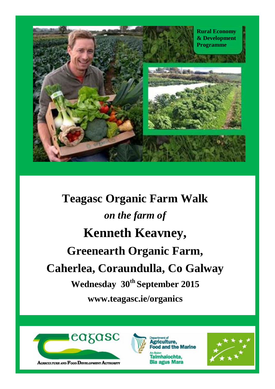

**Teagasc Organic Farm Walk** *on the farm of* **Kenneth Keavney, Greenearth Organic Farm, Caherlea, Coraundulla, Co Galway Wednesday 30th September 2015 www.teagasc.ie/organics**





iculture. ood and the Marine Talmhaíochta, **Bia agus Mara** 

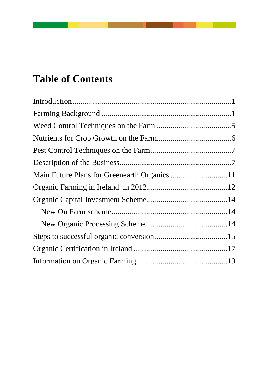# **Table of Contents**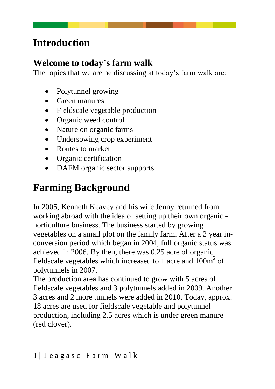# <span id="page-4-0"></span>**Introduction**

#### **Welcome to today's farm walk**

The topics that we are be discussing at today's farm walk are:

- Polytunnel growing
- Green manures
- Fieldscale vegetable production
- Organic weed control
- Nature on organic farms
- Undersowing crop experiment
- Routes to market
- Organic certification
- DAFM organic sector supports

# <span id="page-4-1"></span>**Farming Background**

In 2005, Kenneth Keavey and his wife Jenny returned from working abroad with the idea of setting up their own organic horticulture business. The business started by growing vegetables on a small plot on the family farm. After a 2 year inconversion period which began in 2004, full organic status was achieved in 2006. By then, there was 0.25 acre of organic fieldscale vegetables which increased to 1 acre and  $100m^2$  of polytunnels in 2007.

The production area has continued to grow with 5 acres of fieldscale vegetables and 3 polytunnels added in 2009. Another 3 acres and 2 more tunnels were added in 2010. Today, approx. 18 acres are used for fieldscale vegetable and polytunnel production, including 2.5 acres which is under green manure (red clover).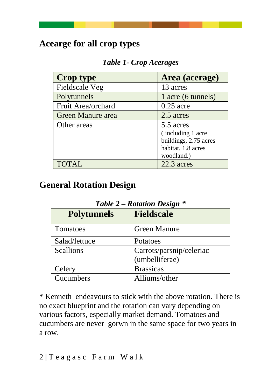## **Acearge for all crop types**

*Table 1- Crop Acerages*

| <b>Crop type</b>   | Area (acerage)                                                                              |
|--------------------|---------------------------------------------------------------------------------------------|
| Fieldscale Veg     | 13 acres                                                                                    |
| Polytunnels        | 1 acre (6 tunnels)                                                                          |
| Fruit Area/orchard | $0.25$ acre                                                                                 |
| Green Manure area  | 2.5 acres                                                                                   |
| Other areas        | 5.5 acres<br>(including 1 acre<br>buildings, 2.75 acres<br>habitat, 1.8 acres<br>woodland.) |
|                    | 22.3 acres                                                                                  |

## **General Rotation Design**

| 1. WU VV 20        |                          |
|--------------------|--------------------------|
| <b>Polytunnels</b> | <b>Fieldscale</b>        |
| Tomatoes           | <b>Green Manure</b>      |
| Salad/lettuce      | Potatoes                 |
| Scallions          | Carrots/parsnip/celeriac |
|                    | (umbelliferae)           |
| Celery             | <b>Brassicas</b>         |
| Cucumbers          | Alliums/other            |

*Table 2 – Rotation Design \**

\* Kenneth endeavours to stick with the above rotation. There is no exact blueprint and the rotation can vary depending on various factors, especially market demand. Tomatoes and cucumbers are never gorwn in the same space for two years in a row.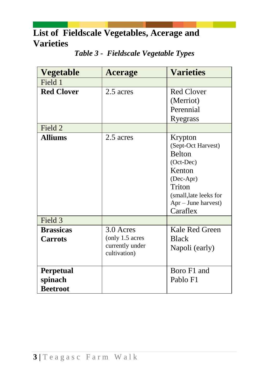## **List of Fieldscale Vegetables, Acerage and Varieties**

| <b>Vegetable</b>  | <b>Acerage</b>  | <b>Varieties</b>       |
|-------------------|-----------------|------------------------|
| Field 1           |                 |                        |
| <b>Red Clover</b> | 2.5 acres       | <b>Red Clover</b>      |
|                   |                 | (Merriot)              |
|                   |                 | Perennial              |
|                   |                 | Ryegrass               |
| Field 2           |                 |                        |
| <b>Alliums</b>    | 2.5 acres       | Krypton                |
|                   |                 | (Sept-Oct Harvest)     |
|                   |                 | <b>Belton</b>          |
|                   |                 | (Oct-Dec)              |
|                   |                 | Kenton                 |
|                   |                 | (Dec-Apr)              |
|                   |                 | Triton                 |
|                   |                 | (small, late leeks for |
|                   |                 | Apr - June harvest)    |
|                   |                 | Caraflex               |
| Field 3           |                 |                        |
| <b>Brassicas</b>  | 3.0 Acres       | Kale Red Green         |
| <b>Carrots</b>    | (only 1.5 acres | <b>Black</b>           |
|                   | currently under | Napoli (early)         |
|                   | cultivation)    |                        |
|                   |                 |                        |
| <b>Perpetual</b>  |                 | Boro F1 and            |
| spinach           |                 | Pablo F1               |
| <b>Beetroot</b>   |                 |                        |

#### *Table 3 - Fieldscale Vegetable Types*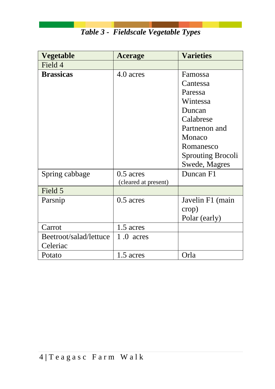| Vegetable              | <b>Acerage</b>       | <b>Varieties</b>         |
|------------------------|----------------------|--------------------------|
| Field 4                |                      |                          |
| <b>Brassicas</b>       | 4.0 acres            | Famossa                  |
|                        |                      | Cantessa                 |
|                        |                      | Paressa                  |
|                        |                      | Wintessa                 |
|                        |                      | Duncan                   |
|                        |                      | Calabrese                |
|                        |                      | Partnenon and            |
|                        |                      | Monaco                   |
|                        |                      | Romanesco                |
|                        |                      | <b>Sprouting Brocoli</b> |
|                        |                      | Swede, Magres            |
| Spring cabbage         | $0.5$ acres          | Duncan F1                |
|                        | (cleared at present) |                          |
| Field 5                |                      |                          |
| Parsnip                | $0.5$ acres          | Javelin F1 (main         |
|                        |                      | crop)                    |
|                        |                      | Polar (early)            |
| Carrot                 | 1.5 acres            |                          |
| Beetroot/salad/lettuce | $1.0$ acres          |                          |
| Celeriac               |                      |                          |
| Potato                 | 1.5 acres            | Orla                     |

*Table 3 - Fieldscale Vegetable Types*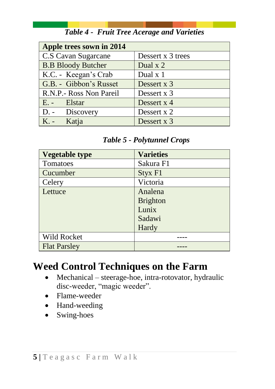| Apple trees sown in 2014  |                   |
|---------------------------|-------------------|
| C.S Cavan Sugarcane       | Dessert x 3 trees |
| <b>B.B Bloody Butcher</b> | Dual x 2          |
| K.C. - Keegan's Crab      | Dual x 1          |
| G.B. - Gibbon's Russet    | Dessert x 3       |
| R.N.P.- Ross Non Pareil   | Dessert x 3       |
| E. - Elstar               | Dessert x 4       |
| D. - Discovery            | Dessert x 2       |
| K. - Katja                | Dessert x 3       |

#### *Table 4 - Fruit Tree Acerage and Varieties*

#### *Table 5 - Polytunnel Crops*

| <b>Vegetable type</b> | <b>Varieties</b> |
|-----------------------|------------------|
| Tomatoes              | Sakura F1        |
| Cucumber              | Styx F1          |
| Celery                | Victoria         |
| Lettuce               | Analena          |
|                       | <b>Brighton</b>  |
|                       | Lunix            |
|                       | Sadawi           |
|                       | Hardy            |
| Wild Rocket           |                  |
| <b>Flat Parsley</b>   |                  |

# <span id="page-8-0"></span>**Weed Control Techniques on the Farm**

- Mechanical steerage-hoe, intra-rotovator, hydraulic disc-weeder, "magic weeder".
- Flame-weeder
- Hand-weeding
- Swing-hoes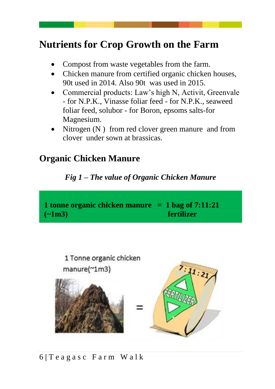# <span id="page-9-0"></span>**Nutrients for Crop Growth on the Farm**

- Compost from waste vegetables from the farm.
- Chicken manure from certified organic chicken houses, 90t used in 2014. Also 90t was used in 2015.
- Commercial products: Law's high N, Activit, Greenvale - for N.P.K., Vinasse foliar feed - for N.P.K., seaweed foliar feed, solubor - for Boron, epsoms salts-for Magnesium.
- Nitrogen (N) from red clover green manure and from clover under sown at brassicas.

### **Organic Chicken Manure**

#### *Fig 1 – The value of Organic Chicken Manure*





6 **|** T e a g a s c F a r m W a l k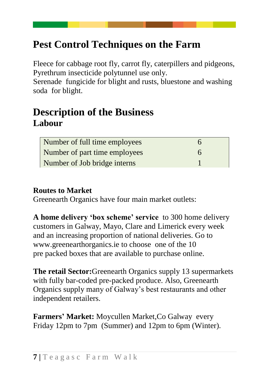# <span id="page-10-0"></span>**Pest Control Techniques on the Farm**

Fleece for cabbage root fly, carrot fly, caterpillers and pidgeons, Pyrethrum insecticide polytunnel use only.

Serenade fungicide for blight and rusts, bluestone and washing soda for blight.

## <span id="page-10-1"></span>**Description of the Business Labour**

| Number of full time employees |  |
|-------------------------------|--|
| Number of part time employees |  |
| Number of Job bridge interns  |  |

#### **Routes to Market**

Greenearth Organics have four main market outlets:

**A home delivery 'box scheme' service** to 300 home delivery customers in Galway, Mayo, Clare and Limerick every week and an increasing proportion of national deliveries. Go to www.greenearthorganics.ie to choose one of the 10 pre packed boxes that are available to purchase online.

**The retail Sector:**Greenearth Organics supply 13 supermarkets with fully bar-coded pre-packed produce. Also, Greenearth Organics supply many of Galway's best restaurants and other independent retailers.

**Farmers' Market:** Moycullen Market,Co Galway every Friday 12pm to 7pm (Summer) and 12pm to 6pm (Winter).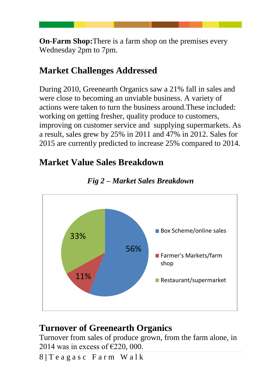**On-Farm Shop:**There is a farm shop on the premises every Wednesday 2pm to 7pm.

## **Market Challenges Addressed**

During 2010, Greenearth Organics saw a 21% fall in sales and were close to becoming an unviable business. A variety of actions were taken to turn the business around.These included: working on getting fresher, quality produce to customers, improving on customer service and supplying supermarkets. As a result, sales grew by 25% in 2011 and 47% in 2012. Sales for 2015 are currently predicted to increase 25% compared to 2014.

## **Market Value Sales Breakdown**





### **Turnover of Greenearth Organics**

Turnover from sales of produce grown, from the farm alone, in 2014 was in excess of  $\epsilon$ 220, 000.

8 **|** T e a g a s c F a r m W a l k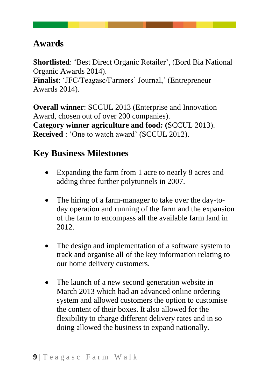## **Awards**

**Shortlisted**: 'Best Direct Organic Retailer', (Bord Bia National Organic Awards 2014).

**Finalist**: 'JFC/Teagasc/Farmers' Journal,' (Entrepreneur Awards 2014).

**Overall winner**: SCCUL 2013 (Enterprise and Innovation Award, chosen out of over 200 companies). **Category winner agriculture and food: (**SCCUL 2013). **Received** : 'One to watch award' (SCCUL 2012).

### **Key Business Milestones**

- Expanding the farm from 1 acre to nearly 8 acres and adding three further polytunnels in 2007.
- The hiring of a farm-manager to take over the day-today operation and running of the farm and the expansion of the farm to encompass all the available farm land in 2012.
- The design and implementation of a software system to track and organise all of the key information relating to our home delivery customers.
- The launch of a new second generation website in March 2013 which had an advanced online ordering system and allowed customers the option to customise the content of their boxes. It also allowed for the flexibility to charge different delivery rates and in so doing allowed the business to expand nationally.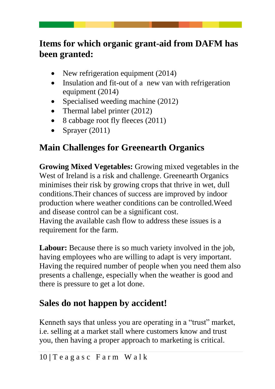## **Items for which organic grant-aid from DAFM has been granted:**

- New refrigeration equipment (2014)
- Insulation and fit-out of a new van with refrigeration equipment (2014)
- Specialised weeding machine (2012)
- Thermal label printer (2012)
- 8 cabbage root fly fleeces (2011)
- Sprayer  $(2011)$

## **Main Challenges for Greenearth Organics**

**Growing Mixed Vegetables:** Growing mixed vegetables in the West of Ireland is a risk and challenge. Greenearth Organics minimises their risk by growing crops that thrive in wet, dull conditions.Their chances of success are improved by indoor production where weather conditions can be controlled.Weed and disease control can be a significant cost. Having the available cash flow to address these issues is a

requirement for the farm.

**Labour:** Because there is so much variety involved in the job, having employees who are willing to adapt is very important. Having the required number of people when you need them also presents a challenge, especially when the weather is good and there is pressure to get a lot done.

## **Sales do not happen by accident!**

Kenneth says that unless you are operating in a "trust" market, i.e. selling at a market stall where customers know and trust you, then having a proper approach to marketing is critical.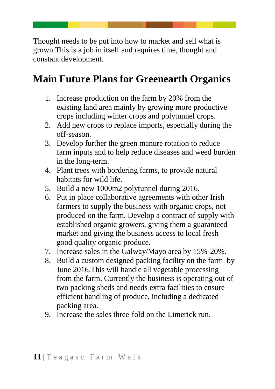Thought needs to be put into how to market and sell what is grown.This is a job in itself and requires time, thought and constant development.

# <span id="page-14-0"></span>**Main Future Plans for Greenearth Organics**

- 1. Increase production on the farm by 20% from the existing land area mainly by growing more productive crops including winter crops and polytunnel crops.
- 2. Add new crops to replace imports, especially during the off-season.
- 3. Develop further the green manure rotation to reduce farm inputs and to help reduce diseases and weed burden in the long-term.
- 4. Plant trees with bordering farms, to provide natural habitats for wild life.
- 5. Build a new 1000m2 polytunnel during 2016.
- 6. Put in place collaborative agreements with other Irish farmers to supply the business with organic crops, not produced on the farm. Develop a contract of supply with established organic growers, giving them a guaranteed market and giving the business access to local fresh good quality organic produce.
- 7. Increase sales in the Galway/Mayo area by 15%-20%.
- 8. Build a custom designed packing facility on the farm by June 2016.This will handle all vegetable processing from the farm. Currently the business is operating out of two packing sheds and needs extra facilities to ensure efficient handling of produce, including a dedicated packing area.
- 9. Increase the sales three-fold on the Limerick run.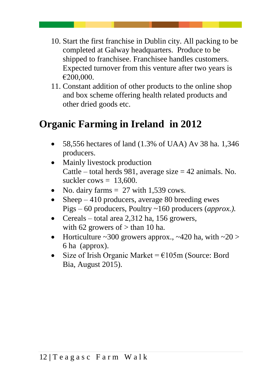- 10. Start the first franchise in Dublin city. All packing to be completed at Galway headquarters. Produce to be shipped to franchisee. Franchisee handles customers. Expected turnover from this venture after two years is €200,000.
- 11. Constant addition of other products to the online shop and box scheme offering health related products and other dried goods etc.

# <span id="page-15-0"></span>**Organic Farming in Ireland in 2012**

- 58,556 hectares of land (1.3% of UAA) Av 38 ha. 1,346 producers.
- Mainly livestock production Cattle – total herds 981, average size  $= 42$  animals. No. suckler cows  $= 13,600$ .
- No. dairy farms  $= 27$  with 1,539 cows.
- Sheep  $-410$  producers, average 80 breeding ewes Pigs – 60 producers, Poultry ~160 producers (*approx.).*
- Cereals total area 2,312 ha, 156 growers, with 62 growers of  $>$  than 10 ha.
- Horticulture ~300 growers approx., ~420 ha, with ~20 > 6 ha (approx).
- Size of Irish Organic Market =  $E105m$  (Source: Bord Bia, August 2015).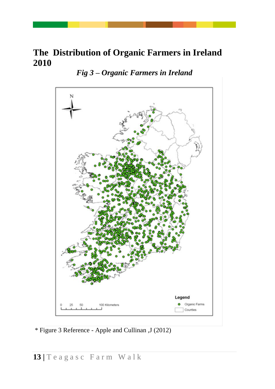### **The Distribution of Organic Farmers in Ireland 2010**

*Fig 3 – Organic Farmers in Ireland*



\* Figure 3 Reference - Apple and Cullinan ,J (2012)

**13 |** T e a g a s c F a r m W a l k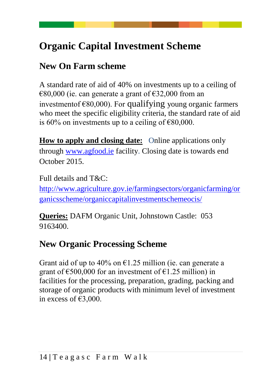# <span id="page-17-0"></span>**Organic Capital Investment Scheme**

## <span id="page-17-1"></span>**New On Farm scheme**

A standard rate of aid of 40% on investments up to a ceiling of  $\epsilon$ 80,000 (ie. can generate a grant of  $\epsilon$ 32,000 from an investmentof €80,000). For qualifying young organic farmers who meet the specific eligibility criteria, the standard rate of aid is  $60\%$  on investments up to a ceiling of  $\epsilon$ 80,000.

**How to apply and closing date:** Online applications only through [www.agfood.ie](http://www.agfood.ie/) facility. Closing date is towards end October 2015.

Full details and T&C: [http://www.agriculture.gov.ie/farmingsectors/organicfarming/or](http://www.agriculture.gov.ie/farmingsectors/organicfarming/organicsscheme/organiccapitalinvestmentschemeocis/) [ganicsscheme/organiccapitalinvestmentschemeocis/](http://www.agriculture.gov.ie/farmingsectors/organicfarming/organicsscheme/organiccapitalinvestmentschemeocis/)

**Queries:** DAFM Organic Unit, Johnstown Castle: 053 9163400.

## <span id="page-17-2"></span>**New Organic Processing Scheme**

Grant aid of up to 40% on  $\epsilon$ 1.25 million (ie. can generate a grant of  $\epsilon$ 500,000 for an investment of  $\epsilon$ 1.25 million) in facilities for the processing, preparation, grading, packing and storage of organic products with minimum level of investment in excess of €3,000.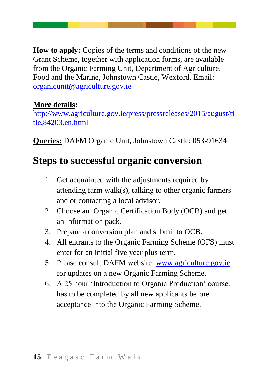**How to apply:** Copies of the terms and conditions of the new Grant Scheme, together with application forms, are available from the Organic Farming Unit, Department of Agriculture, Food and the Marine, Johnstown Castle, Wexford. Email: [organicunit@agriculture.gov.ie](mailto:organicunit@agriculture.gov.ie)

#### **More details:**

[http://www.agriculture.gov.ie/press/pressreleases/2015/august/ti](http://www.agriculture.gov.ie/press/pressreleases/2015/august/title,84203,en.html) [tle,84203,en.html](http://www.agriculture.gov.ie/press/pressreleases/2015/august/title,84203,en.html)

**Queries:** DAFM Organic Unit, Johnstown Castle: 053-91634

# <span id="page-18-0"></span>**Steps to successful organic conversion**

- 1. Get acquainted with the adjustments required by attending farm walk(s), talking to other organic farmers and or contacting a local advisor.
- 2. Choose an Organic Certification Body (OCB) and get an information pack.
- 3. Prepare a conversion plan and submit to OCB.
- 4. All entrants to the Organic Farming Scheme (OFS) must enter for an initial five year plus term.
- 5. Please consult DAFM website: [www.agriculture.gov.ie](http://www.agriculture.gov.ie/) for updates on a new Organic Farming Scheme.
- 6. A 25 hour 'Introduction to Organic Production' course. has to be completed by all new applicants before. acceptance into the Organic Farming Scheme.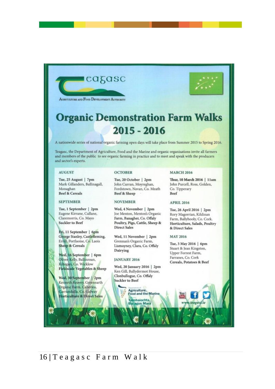



AGRICULTURE AND FOOD DEVELOPMENT AUTHORITY

# **Organic Demonstration Farm Walks**  $2015 - 2016$

A nationwide series of national organic farming open days will take place from Summer 2015 to Spring 2016.

Teagasc, the Department of Agriculture, Food and the Marine and organic organisations invite all farmers and members of the public to see organic farming in practice and to meet and speak with the producers and sector's experts.

#### **AUGUST**

Tue, 25 August | 7pm Mark Gillanders, Ballinagall, Monaghan **Beef & Cereals** 

#### **SEPTEMBER**

Tue, 1 September | 2pm Eugene Kirrane, Cullane, Claremorris, Co. Mayo **Suckler** to Beef

Fri, 11 September | 6pm George Stanley, Castlefleming, Errill, Portlaoise, Co. Laois **Sheep & Cereals** 

Wed, 16 September | 6pm Oliver Kelly, Ballinroan, Kiltegan, Co. Wicklow **Fieldscale Vegetables & Sheep** 

Wed, 30 September | 2pm Kenneth Keavey, Greenearth Organic Farm, Caherlea. arrundulla, Co. Galway **Horticulture & Direct Sales** 

#### **OCTOBER**

Tue, 20 October | 2pm John Curran, Moyreghan, Fordstown, Navan, Co. Meath **Beef & Sheep** 

#### **NOVEMBER**

Wed, 4 November | 2pm Joe Menton, Menton's Organic Farm, Banagher, Co. Offaly Poultry, Pigs, Cattle, Sheep & **Direct Sales** 

Wed, 11 November | 2pm Grennan's Organic Farm, Lismoyney, Clara, Co. Offaly Dairying

#### **JANUARY 2016**

Wed, 20 January 2016 | 2pm Ken Gill, Ballydermot House, Clonbullogue, Co. Offaly Suckler to Beef

> Agriculture. **Food and the Marine** mhaíochta œ **Bia agus Mara**

#### **MARCH 2016**

Thur, 10 March 2016 | 11am John Purcell, Ross, Golden, Co. Tipperary Beef

#### APRIL 2016

Tue, 26 April 2016 | 2pm Rory Magorrian, Kildinan Farm, Ballyhooly, Co. Cork. Horticulture, Salads, Poultry & Direct Sales

#### **MAY 2016**

Tue, 3 May 2016 | 6pm Stuart & Jean Kingston, Upper Forrest Farm, Farranes, Co. Cork Cereals, Potatoes & Beef

teagasc.ie

#### 16 | Teagasc Farm Walk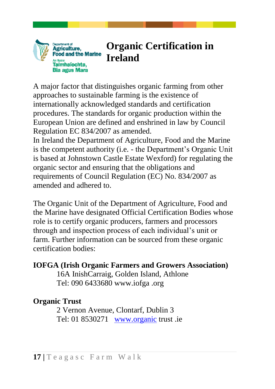

# <span id="page-20-0"></span>**Organic Certification in Ireland**

A major factor that distinguishes organic farming from other approaches to sustainable farming is the existence of internationally acknowledged standards and certification procedures. The standards for organic production within the European Union are defined and enshrined in law by Council Regulation EC 834/2007 as amended.

In Ireland the Department of Agriculture, Food and the Marine is the competent authority (i.e. - the Department's Organic Unit is based at Johnstown Castle Estate Wexford) for regulating the organic sector and ensuring that the obligations and requirements of Council Regulation (EC) No. 834/2007 as amended and adhered to.

The Organic Unit of the Department of Agriculture, Food and the Marine have designated Official Certification Bodies whose role is to certify organic producers, farmers and processors through and inspection process of each individual's unit or farm. Further information can be sourced from these organic certification bodies:

#### **IOFGA (Irish Organic Farmers and Growers Association)**

16A InishCarraig, Golden Island, Athlone Tel: 090 6433680 www.iofga .org

#### **Organic Trust**

2 Vernon Avenue, Clontarf, Dublin 3 Tel: 01 8530271 [www.organic](http://www.organic/) trust .ie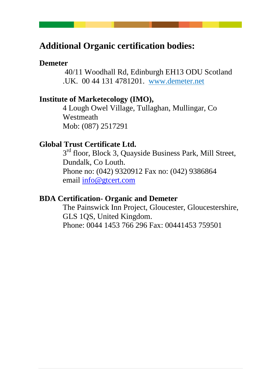### **Additional Organic certification bodies:**

#### **Demeter**

40/11 Woodhall Rd, Edinburgh EH13 ODU Scotland .UK. 00 44 131 4781201. www.demeter.net

#### **Institute of Marketecology (IMO),**

4 Lough Owel Village, Tullaghan, Mullingar, Co Westmeath Mob: (087) 2517291

#### **Global Trust Certificate Ltd.**

3<sup>rd</sup> floor, Block 3, Quayside Business Park, Mill Street, Dundalk, Co Louth. Phone no: (042) 9320912 Fax no: (042) 9386864 email [info@gtcert.com](mailto:info@gtcert.com)

#### **BDA Certification- Organic and Demeter**

The Painswick Inn Project, Gloucester, Gloucestershire, GLS 1QS, United Kingdom. Phone: 0044 1453 766 296 Fax: 00441453 759501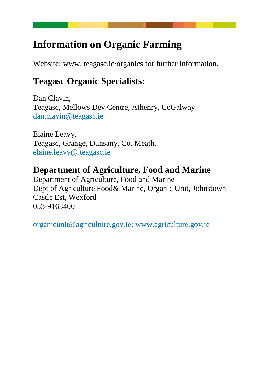## <span id="page-22-0"></span>**Information on Organic Farming**

Website: www. teagasc.ie/organics for further information.

## **Teagasc Organic Specialists:**

Dan Clavin, Teagasc, Mellows Dev Centre, Athenry, CoGalway dan.clavin@teagasc.ie

Elaine Leavy, Teagasc, Grange, Dunsany, Co. Meath. elaine.leavy@.teagasc.ie

## **Department of Agriculture, Food and Marine**

Department of Agriculture, Food and Marine Dept of Agriculture Food& Marine, Organic Unit, Johnstown Castle Est, Wexford 053-9163400

[organicunit@agriculture.gov.ie;](mailto:organicunit@agriculture.gov.ie) [www.agriculture.gov.ie](http://www.agriculture.gov.ie/)